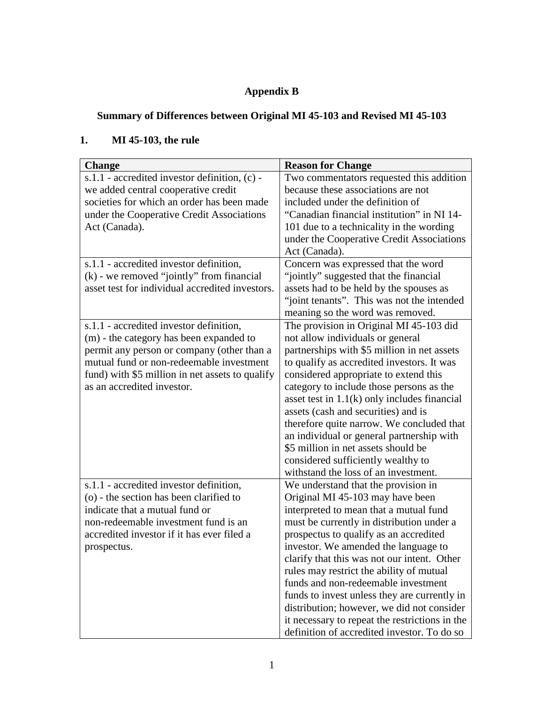# **Appendix B**

## **Summary of Differences between Original MI 45-103 and Revised MI 45-103**

## **1. MI 45-103, the rule**

| <b>Change</b>                                   | <b>Reason for Change</b>                       |
|-------------------------------------------------|------------------------------------------------|
| s.1.1 - accredited investor definition, (c) -   | Two commentators requested this addition       |
| we added central cooperative credit             | because these associations are not             |
| societies for which an order has been made      | included under the definition of               |
| under the Cooperative Credit Associations       | "Canadian financial institution" in NI 14-     |
| Act (Canada).                                   | 101 due to a technicality in the wording       |
|                                                 | under the Cooperative Credit Associations      |
|                                                 | Act (Canada).                                  |
| s.1.1 - accredited investor definition,         | Concern was expressed that the word            |
| $(k)$ - we removed "jointly" from financial     | "jointly" suggested that the financial         |
| asset test for individual accredited investors. | assets had to be held by the spouses as        |
|                                                 | "joint tenants". This was not the intended     |
|                                                 | meaning so the word was removed.               |
| s.1.1 - accredited investor definition,         | The provision in Original MI 45-103 did        |
| (m) - the category has been expanded to         | not allow individuals or general               |
| permit any person or company (other than a      | partnerships with \$5 million in net assets    |
| mutual fund or non-redeemable investment        | to qualify as accredited investors. It was     |
| fund) with \$5 million in net assets to qualify | considered appropriate to extend this          |
| as an accredited investor.                      | category to include those persons as the       |
|                                                 | asset test in $1.1(k)$ only includes financial |
|                                                 | assets (cash and securities) and is            |
|                                                 | therefore quite narrow. We concluded that      |
|                                                 | an individual or general partnership with      |
|                                                 | \$5 million in net assets should be            |
|                                                 | considered sufficiently wealthy to             |
|                                                 | withstand the loss of an investment.           |
| s.1.1 - accredited investor definition,         | We understand that the provision in            |
| (o) - the section has been clarified to         | Original MI 45-103 may have been               |
| indicate that a mutual fund or                  | interpreted to mean that a mutual fund         |
| non-redeemable investment fund is an            | must be currently in distribution under a      |
| accredited investor if it has ever filed a      | prospectus to qualify as an accredited         |
| prospectus.                                     | investor. We amended the language to           |
|                                                 | clarify that this was not our intent. Other    |
|                                                 | rules may restrict the ability of mutual       |
|                                                 | funds and non-redeemable investment            |
|                                                 | funds to invest unless they are currently in   |
|                                                 | distribution; however, we did not consider     |
|                                                 | it necessary to repeat the restrictions in the |
|                                                 | definition of accredited investor. To do so    |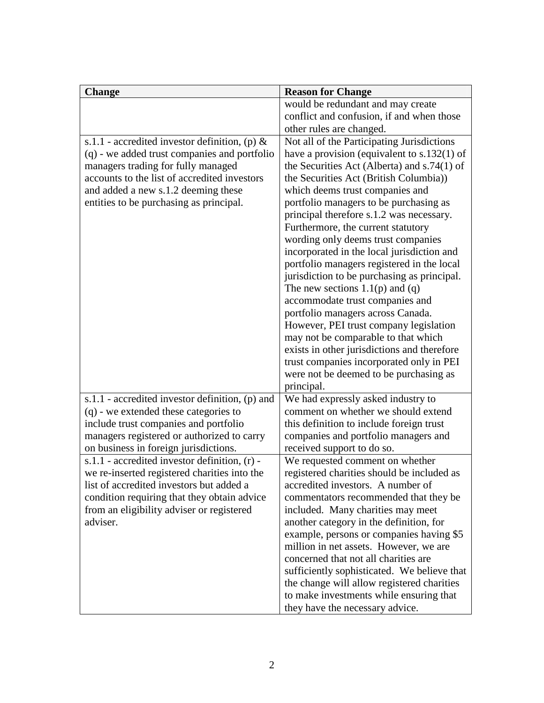| <b>Change</b>                                                                       | <b>Reason for Change</b>                                                         |
|-------------------------------------------------------------------------------------|----------------------------------------------------------------------------------|
|                                                                                     | would be redundant and may create                                                |
|                                                                                     | conflict and confusion, if and when those                                        |
|                                                                                     | other rules are changed.                                                         |
| s.1.1 - accredited investor definition, (p) $\&$                                    | Not all of the Participating Jurisdictions                                       |
| (q) - we added trust companies and portfolio                                        | have a provision (equivalent to $s.132(1)$ of                                    |
| managers trading for fully managed                                                  | the Securities Act (Alberta) and $s.74(1)$ of                                    |
| accounts to the list of accredited investors                                        | the Securities Act (British Columbia))                                           |
| and added a new s.1.2 deeming these                                                 | which deems trust companies and                                                  |
| entities to be purchasing as principal.                                             | portfolio managers to be purchasing as                                           |
|                                                                                     | principal therefore s.1.2 was necessary.                                         |
|                                                                                     | Furthermore, the current statutory                                               |
|                                                                                     | wording only deems trust companies                                               |
|                                                                                     | incorporated in the local jurisdiction and                                       |
|                                                                                     | portfolio managers registered in the local                                       |
|                                                                                     | jurisdiction to be purchasing as principal.                                      |
|                                                                                     | The new sections $1.1(p)$ and $(q)$                                              |
|                                                                                     | accommodate trust companies and                                                  |
|                                                                                     | portfolio managers across Canada.                                                |
|                                                                                     | However, PEI trust company legislation                                           |
|                                                                                     | may not be comparable to that which                                              |
|                                                                                     | exists in other jurisdictions and therefore                                      |
|                                                                                     | trust companies incorporated only in PEI                                         |
|                                                                                     | were not be deemed to be purchasing as                                           |
|                                                                                     | principal.                                                                       |
| s.1.1 - accredited investor definition, (p) and                                     | We had expressly asked industry to<br>comment on whether we should extend        |
| (q) - we extended these categories to                                               |                                                                                  |
| include trust companies and portfolio<br>managers registered or authorized to carry | this definition to include foreign trust<br>companies and portfolio managers and |
| on business in foreign jurisdictions.                                               | received support to do so.                                                       |
| s.1.1 - accredited investor definition, (r) -                                       | We requested comment on whether                                                  |
| we re-inserted registered charities into the                                        | registered charities should be included as                                       |
| list of accredited investors but added a                                            | accredited investors. A number of                                                |
| condition requiring that they obtain advice                                         | commentators recommended that they be                                            |
| from an eligibility adviser or registered                                           | included. Many charities may meet                                                |
| adviser.                                                                            | another category in the definition, for                                          |
|                                                                                     | example, persons or companies having \$5                                         |
|                                                                                     | million in net assets. However, we are                                           |
|                                                                                     | concerned that not all charities are                                             |
|                                                                                     | sufficiently sophisticated. We believe that                                      |
|                                                                                     | the change will allow registered charities                                       |
|                                                                                     | to make investments while ensuring that                                          |
|                                                                                     | they have the necessary advice.                                                  |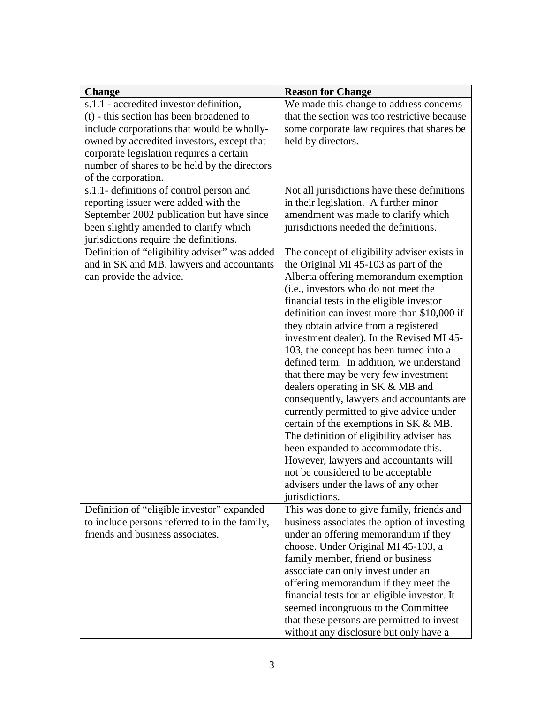| <b>Change</b>                                 | <b>Reason for Change</b>                               |
|-----------------------------------------------|--------------------------------------------------------|
| s.1.1 - accredited investor definition,       | We made this change to address concerns                |
| (t) - this section has been broadened to      | that the section was too restrictive because           |
| include corporations that would be wholly-    | some corporate law requires that shares be             |
| owned by accredited investors, except that    | held by directors.                                     |
| corporate legislation requires a certain      |                                                        |
| number of shares to be held by the directors  |                                                        |
| of the corporation.                           |                                                        |
| s.1.1- definitions of control person and      | Not all jurisdictions have these definitions           |
| reporting issuer were added with the          | in their legislation. A further minor                  |
| September 2002 publication but have since     | amendment was made to clarify which                    |
| been slightly amended to clarify which        | jurisdictions needed the definitions.                  |
| jurisdictions require the definitions.        |                                                        |
| Definition of "eligibility adviser" was added | The concept of eligibility adviser exists in           |
| and in SK and MB, lawyers and accountants     | the Original MI 45-103 as part of the                  |
| can provide the advice.                       | Alberta offering memorandum exemption                  |
|                                               | (i.e., investors who do not meet the                   |
|                                               | financial tests in the eligible investor               |
|                                               | definition can invest more than \$10,000 if            |
|                                               | they obtain advice from a registered                   |
|                                               | investment dealer). In the Revised MI 45-              |
|                                               | 103, the concept has been turned into a                |
|                                               | defined term. In addition, we understand               |
|                                               | that there may be very few investment                  |
|                                               | dealers operating in SK & MB and                       |
|                                               | consequently, lawyers and accountants are              |
|                                               | currently permitted to give advice under               |
|                                               | certain of the exemptions in $SK & MB$ .               |
|                                               | The definition of eligibility adviser has              |
|                                               | been expanded to accommodate this.                     |
|                                               | However, lawyers and accountants will                  |
|                                               | not be considered to be acceptable                     |
|                                               | advisers under the laws of any other<br>jurisdictions. |
| Definition of "eligible investor" expanded    | This was done to give family, friends and              |
| to include persons referred to in the family, | business associates the option of investing            |
| friends and business associates.              | under an offering memorandum if they                   |
|                                               | choose. Under Original MI 45-103, a                    |
|                                               | family member, friend or business                      |
|                                               | associate can only invest under an                     |
|                                               | offering memorandum if they meet the                   |
|                                               | financial tests for an eligible investor. It           |
|                                               | seemed incongruous to the Committee                    |
|                                               | that these persons are permitted to invest             |
|                                               | without any disclosure but only have a                 |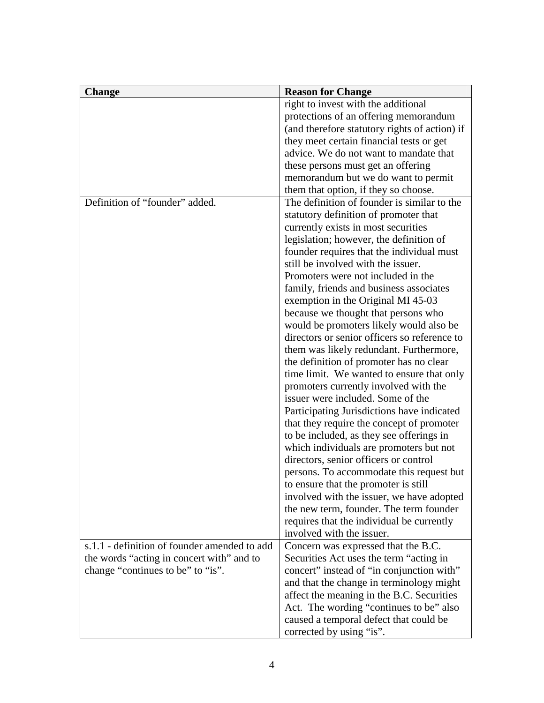| <b>Change</b>                                | <b>Reason for Change</b>                      |
|----------------------------------------------|-----------------------------------------------|
|                                              | right to invest with the additional           |
|                                              | protections of an offering memorandum         |
|                                              | (and therefore statutory rights of action) if |
|                                              | they meet certain financial tests or get      |
|                                              | advice. We do not want to mandate that        |
|                                              | these persons must get an offering            |
|                                              | memorandum but we do want to permit           |
|                                              | them that option, if they so choose.          |
| Definition of "founder" added.               | The definition of founder is similar to the   |
|                                              | statutory definition of promoter that         |
|                                              | currently exists in most securities           |
|                                              | legislation; however, the definition of       |
|                                              | founder requires that the individual must     |
|                                              | still be involved with the issuer.            |
|                                              | Promoters were not included in the            |
|                                              | family, friends and business associates       |
|                                              | exemption in the Original MI 45-03            |
|                                              | because we thought that persons who           |
|                                              | would be promoters likely would also be       |
|                                              | directors or senior officers so reference to  |
|                                              | them was likely redundant. Furthermore,       |
|                                              | the definition of promoter has no clear       |
|                                              | time limit. We wanted to ensure that only     |
|                                              | promoters currently involved with the         |
|                                              | issuer were included. Some of the             |
|                                              | Participating Jurisdictions have indicated    |
|                                              | that they require the concept of promoter     |
|                                              | to be included, as they see offerings in      |
|                                              | which individuals are promoters but not       |
|                                              | directors, senior officers or control         |
|                                              | persons. To accommodate this request but      |
|                                              | to ensure that the promoter is still          |
|                                              | involved with the issuer, we have adopted     |
|                                              | the new term, founder. The term founder       |
|                                              | requires that the individual be currently     |
|                                              | involved with the issuer.                     |
| s.1.1 - definition of founder amended to add | Concern was expressed that the B.C.           |
| the words "acting in concert with" and to    | Securities Act uses the term "acting in       |
| change "continues to be" to "is".            | concert" instead of "in conjunction with"     |
|                                              | and that the change in terminology might      |
|                                              | affect the meaning in the B.C. Securities     |
|                                              | Act. The wording "continues to be" also       |
|                                              | caused a temporal defect that could be        |
|                                              | corrected by using "is".                      |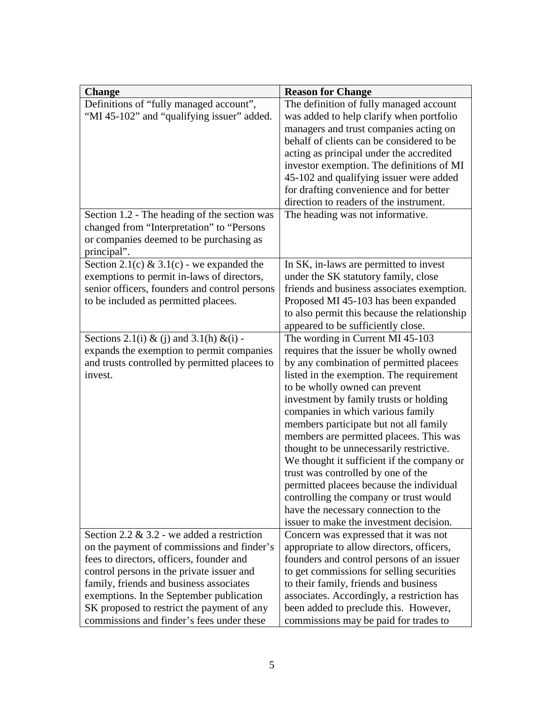| <b>Change</b>                                                                                                                                                                                                                                                                                                                                                                                                                                                                                                                                                      | <b>Reason for Change</b>                                                                                                                                                                                                                                                                                                                                                                                                                                                                                                                                                                                                                                                                                                                                                                                                                                                                                                                                                                                                                                                                                                                                                  |
|--------------------------------------------------------------------------------------------------------------------------------------------------------------------------------------------------------------------------------------------------------------------------------------------------------------------------------------------------------------------------------------------------------------------------------------------------------------------------------------------------------------------------------------------------------------------|---------------------------------------------------------------------------------------------------------------------------------------------------------------------------------------------------------------------------------------------------------------------------------------------------------------------------------------------------------------------------------------------------------------------------------------------------------------------------------------------------------------------------------------------------------------------------------------------------------------------------------------------------------------------------------------------------------------------------------------------------------------------------------------------------------------------------------------------------------------------------------------------------------------------------------------------------------------------------------------------------------------------------------------------------------------------------------------------------------------------------------------------------------------------------|
| Definitions of "fully managed account",                                                                                                                                                                                                                                                                                                                                                                                                                                                                                                                            | The definition of fully managed account                                                                                                                                                                                                                                                                                                                                                                                                                                                                                                                                                                                                                                                                                                                                                                                                                                                                                                                                                                                                                                                                                                                                   |
| "MI 45-102" and "qualifying issuer" added.                                                                                                                                                                                                                                                                                                                                                                                                                                                                                                                         | was added to help clarify when portfolio                                                                                                                                                                                                                                                                                                                                                                                                                                                                                                                                                                                                                                                                                                                                                                                                                                                                                                                                                                                                                                                                                                                                  |
|                                                                                                                                                                                                                                                                                                                                                                                                                                                                                                                                                                    | managers and trust companies acting on                                                                                                                                                                                                                                                                                                                                                                                                                                                                                                                                                                                                                                                                                                                                                                                                                                                                                                                                                                                                                                                                                                                                    |
|                                                                                                                                                                                                                                                                                                                                                                                                                                                                                                                                                                    | behalf of clients can be considered to be                                                                                                                                                                                                                                                                                                                                                                                                                                                                                                                                                                                                                                                                                                                                                                                                                                                                                                                                                                                                                                                                                                                                 |
|                                                                                                                                                                                                                                                                                                                                                                                                                                                                                                                                                                    | acting as principal under the accredited                                                                                                                                                                                                                                                                                                                                                                                                                                                                                                                                                                                                                                                                                                                                                                                                                                                                                                                                                                                                                                                                                                                                  |
|                                                                                                                                                                                                                                                                                                                                                                                                                                                                                                                                                                    | investor exemption. The definitions of MI                                                                                                                                                                                                                                                                                                                                                                                                                                                                                                                                                                                                                                                                                                                                                                                                                                                                                                                                                                                                                                                                                                                                 |
|                                                                                                                                                                                                                                                                                                                                                                                                                                                                                                                                                                    | 45-102 and qualifying issuer were added                                                                                                                                                                                                                                                                                                                                                                                                                                                                                                                                                                                                                                                                                                                                                                                                                                                                                                                                                                                                                                                                                                                                   |
|                                                                                                                                                                                                                                                                                                                                                                                                                                                                                                                                                                    | for drafting convenience and for better                                                                                                                                                                                                                                                                                                                                                                                                                                                                                                                                                                                                                                                                                                                                                                                                                                                                                                                                                                                                                                                                                                                                   |
|                                                                                                                                                                                                                                                                                                                                                                                                                                                                                                                                                                    | direction to readers of the instrument.                                                                                                                                                                                                                                                                                                                                                                                                                                                                                                                                                                                                                                                                                                                                                                                                                                                                                                                                                                                                                                                                                                                                   |
| Section 1.2 - The heading of the section was                                                                                                                                                                                                                                                                                                                                                                                                                                                                                                                       | The heading was not informative.                                                                                                                                                                                                                                                                                                                                                                                                                                                                                                                                                                                                                                                                                                                                                                                                                                                                                                                                                                                                                                                                                                                                          |
| changed from "Interpretation" to "Persons                                                                                                                                                                                                                                                                                                                                                                                                                                                                                                                          |                                                                                                                                                                                                                                                                                                                                                                                                                                                                                                                                                                                                                                                                                                                                                                                                                                                                                                                                                                                                                                                                                                                                                                           |
| or companies deemed to be purchasing as                                                                                                                                                                                                                                                                                                                                                                                                                                                                                                                            |                                                                                                                                                                                                                                                                                                                                                                                                                                                                                                                                                                                                                                                                                                                                                                                                                                                                                                                                                                                                                                                                                                                                                                           |
| principal".                                                                                                                                                                                                                                                                                                                                                                                                                                                                                                                                                        |                                                                                                                                                                                                                                                                                                                                                                                                                                                                                                                                                                                                                                                                                                                                                                                                                                                                                                                                                                                                                                                                                                                                                                           |
| Section 2.1(c) & 3.1(c) - we expanded the                                                                                                                                                                                                                                                                                                                                                                                                                                                                                                                          | In SK, in-laws are permitted to invest                                                                                                                                                                                                                                                                                                                                                                                                                                                                                                                                                                                                                                                                                                                                                                                                                                                                                                                                                                                                                                                                                                                                    |
| exemptions to permit in-laws of directors,                                                                                                                                                                                                                                                                                                                                                                                                                                                                                                                         | under the SK statutory family, close                                                                                                                                                                                                                                                                                                                                                                                                                                                                                                                                                                                                                                                                                                                                                                                                                                                                                                                                                                                                                                                                                                                                      |
| senior officers, founders and control persons                                                                                                                                                                                                                                                                                                                                                                                                                                                                                                                      | friends and business associates exemption.                                                                                                                                                                                                                                                                                                                                                                                                                                                                                                                                                                                                                                                                                                                                                                                                                                                                                                                                                                                                                                                                                                                                |
|                                                                                                                                                                                                                                                                                                                                                                                                                                                                                                                                                                    |                                                                                                                                                                                                                                                                                                                                                                                                                                                                                                                                                                                                                                                                                                                                                                                                                                                                                                                                                                                                                                                                                                                                                                           |
|                                                                                                                                                                                                                                                                                                                                                                                                                                                                                                                                                                    |                                                                                                                                                                                                                                                                                                                                                                                                                                                                                                                                                                                                                                                                                                                                                                                                                                                                                                                                                                                                                                                                                                                                                                           |
|                                                                                                                                                                                                                                                                                                                                                                                                                                                                                                                                                                    |                                                                                                                                                                                                                                                                                                                                                                                                                                                                                                                                                                                                                                                                                                                                                                                                                                                                                                                                                                                                                                                                                                                                                                           |
|                                                                                                                                                                                                                                                                                                                                                                                                                                                                                                                                                                    |                                                                                                                                                                                                                                                                                                                                                                                                                                                                                                                                                                                                                                                                                                                                                                                                                                                                                                                                                                                                                                                                                                                                                                           |
|                                                                                                                                                                                                                                                                                                                                                                                                                                                                                                                                                                    |                                                                                                                                                                                                                                                                                                                                                                                                                                                                                                                                                                                                                                                                                                                                                                                                                                                                                                                                                                                                                                                                                                                                                                           |
|                                                                                                                                                                                                                                                                                                                                                                                                                                                                                                                                                                    |                                                                                                                                                                                                                                                                                                                                                                                                                                                                                                                                                                                                                                                                                                                                                                                                                                                                                                                                                                                                                                                                                                                                                                           |
|                                                                                                                                                                                                                                                                                                                                                                                                                                                                                                                                                                    |                                                                                                                                                                                                                                                                                                                                                                                                                                                                                                                                                                                                                                                                                                                                                                                                                                                                                                                                                                                                                                                                                                                                                                           |
|                                                                                                                                                                                                                                                                                                                                                                                                                                                                                                                                                                    |                                                                                                                                                                                                                                                                                                                                                                                                                                                                                                                                                                                                                                                                                                                                                                                                                                                                                                                                                                                                                                                                                                                                                                           |
|                                                                                                                                                                                                                                                                                                                                                                                                                                                                                                                                                                    |                                                                                                                                                                                                                                                                                                                                                                                                                                                                                                                                                                                                                                                                                                                                                                                                                                                                                                                                                                                                                                                                                                                                                                           |
|                                                                                                                                                                                                                                                                                                                                                                                                                                                                                                                                                                    |                                                                                                                                                                                                                                                                                                                                                                                                                                                                                                                                                                                                                                                                                                                                                                                                                                                                                                                                                                                                                                                                                                                                                                           |
|                                                                                                                                                                                                                                                                                                                                                                                                                                                                                                                                                                    |                                                                                                                                                                                                                                                                                                                                                                                                                                                                                                                                                                                                                                                                                                                                                                                                                                                                                                                                                                                                                                                                                                                                                                           |
|                                                                                                                                                                                                                                                                                                                                                                                                                                                                                                                                                                    |                                                                                                                                                                                                                                                                                                                                                                                                                                                                                                                                                                                                                                                                                                                                                                                                                                                                                                                                                                                                                                                                                                                                                                           |
|                                                                                                                                                                                                                                                                                                                                                                                                                                                                                                                                                                    |                                                                                                                                                                                                                                                                                                                                                                                                                                                                                                                                                                                                                                                                                                                                                                                                                                                                                                                                                                                                                                                                                                                                                                           |
|                                                                                                                                                                                                                                                                                                                                                                                                                                                                                                                                                                    |                                                                                                                                                                                                                                                                                                                                                                                                                                                                                                                                                                                                                                                                                                                                                                                                                                                                                                                                                                                                                                                                                                                                                                           |
|                                                                                                                                                                                                                                                                                                                                                                                                                                                                                                                                                                    |                                                                                                                                                                                                                                                                                                                                                                                                                                                                                                                                                                                                                                                                                                                                                                                                                                                                                                                                                                                                                                                                                                                                                                           |
|                                                                                                                                                                                                                                                                                                                                                                                                                                                                                                                                                                    |                                                                                                                                                                                                                                                                                                                                                                                                                                                                                                                                                                                                                                                                                                                                                                                                                                                                                                                                                                                                                                                                                                                                                                           |
|                                                                                                                                                                                                                                                                                                                                                                                                                                                                                                                                                                    |                                                                                                                                                                                                                                                                                                                                                                                                                                                                                                                                                                                                                                                                                                                                                                                                                                                                                                                                                                                                                                                                                                                                                                           |
|                                                                                                                                                                                                                                                                                                                                                                                                                                                                                                                                                                    |                                                                                                                                                                                                                                                                                                                                                                                                                                                                                                                                                                                                                                                                                                                                                                                                                                                                                                                                                                                                                                                                                                                                                                           |
|                                                                                                                                                                                                                                                                                                                                                                                                                                                                                                                                                                    |                                                                                                                                                                                                                                                                                                                                                                                                                                                                                                                                                                                                                                                                                                                                                                                                                                                                                                                                                                                                                                                                                                                                                                           |
|                                                                                                                                                                                                                                                                                                                                                                                                                                                                                                                                                                    |                                                                                                                                                                                                                                                                                                                                                                                                                                                                                                                                                                                                                                                                                                                                                                                                                                                                                                                                                                                                                                                                                                                                                                           |
|                                                                                                                                                                                                                                                                                                                                                                                                                                                                                                                                                                    |                                                                                                                                                                                                                                                                                                                                                                                                                                                                                                                                                                                                                                                                                                                                                                                                                                                                                                                                                                                                                                                                                                                                                                           |
|                                                                                                                                                                                                                                                                                                                                                                                                                                                                                                                                                                    |                                                                                                                                                                                                                                                                                                                                                                                                                                                                                                                                                                                                                                                                                                                                                                                                                                                                                                                                                                                                                                                                                                                                                                           |
|                                                                                                                                                                                                                                                                                                                                                                                                                                                                                                                                                                    |                                                                                                                                                                                                                                                                                                                                                                                                                                                                                                                                                                                                                                                                                                                                                                                                                                                                                                                                                                                                                                                                                                                                                                           |
|                                                                                                                                                                                                                                                                                                                                                                                                                                                                                                                                                                    |                                                                                                                                                                                                                                                                                                                                                                                                                                                                                                                                                                                                                                                                                                                                                                                                                                                                                                                                                                                                                                                                                                                                                                           |
|                                                                                                                                                                                                                                                                                                                                                                                                                                                                                                                                                                    |                                                                                                                                                                                                                                                                                                                                                                                                                                                                                                                                                                                                                                                                                                                                                                                                                                                                                                                                                                                                                                                                                                                                                                           |
|                                                                                                                                                                                                                                                                                                                                                                                                                                                                                                                                                                    |                                                                                                                                                                                                                                                                                                                                                                                                                                                                                                                                                                                                                                                                                                                                                                                                                                                                                                                                                                                                                                                                                                                                                                           |
| to be included as permitted placees.<br>Sections 2.1(i) & (j) and 3.1(h) &(i) -<br>expands the exemption to permit companies<br>and trusts controlled by permitted placees to<br>invest.<br>Section 2.2 $\&$ 3.2 - we added a restriction<br>on the payment of commissions and finder's<br>fees to directors, officers, founder and<br>control persons in the private issuer and<br>family, friends and business associates<br>exemptions. In the September publication<br>SK proposed to restrict the payment of any<br>commissions and finder's fees under these | Proposed MI 45-103 has been expanded<br>to also permit this because the relationship<br>appeared to be sufficiently close.<br>The wording in Current MI 45-103<br>requires that the issuer be wholly owned<br>by any combination of permitted placees<br>listed in the exemption. The requirement<br>to be wholly owned can prevent<br>investment by family trusts or holding<br>companies in which various family<br>members participate but not all family<br>members are permitted placees. This was<br>thought to be unnecessarily restrictive.<br>We thought it sufficient if the company or<br>trust was controlled by one of the<br>permitted placees because the individual<br>controlling the company or trust would<br>have the necessary connection to the<br>issuer to make the investment decision.<br>Concern was expressed that it was not<br>appropriate to allow directors, officers,<br>founders and control persons of an issuer<br>to get commissions for selling securities<br>to their family, friends and business<br>associates. Accordingly, a restriction has<br>been added to preclude this. However,<br>commissions may be paid for trades to |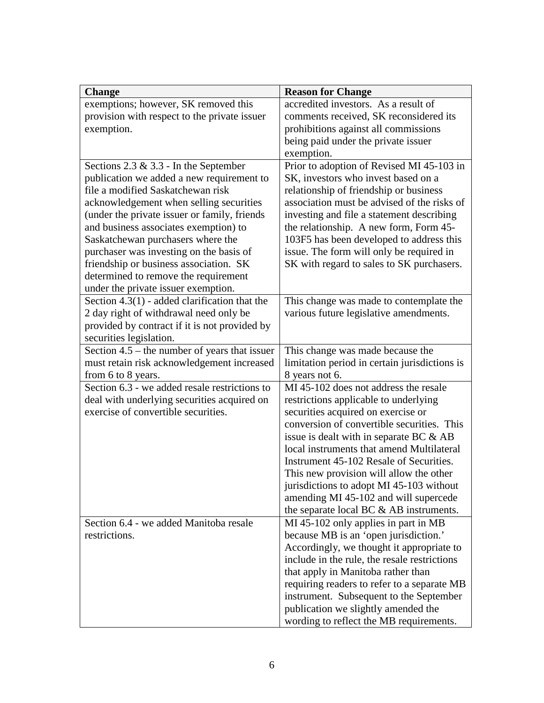| <b>Change</b>                                   | <b>Reason for Change</b>                                                       |
|-------------------------------------------------|--------------------------------------------------------------------------------|
| exemptions; however, SK removed this            | accredited investors. As a result of                                           |
| provision with respect to the private issuer    | comments received, SK reconsidered its                                         |
| exemption.                                      | prohibitions against all commissions                                           |
|                                                 | being paid under the private issuer                                            |
|                                                 | exemption.                                                                     |
| Sections $2.3 \& 3.3$ - In the September        | Prior to adoption of Revised MI 45-103 in                                      |
| publication we added a new requirement to       | SK, investors who invest based on a                                            |
| file a modified Saskatchewan risk               | relationship of friendship or business                                         |
| acknowledgement when selling securities         | association must be advised of the risks of                                    |
| (under the private issuer or family, friends    | investing and file a statement describing                                      |
| and business associates exemption) to           | the relationship. A new form, Form 45-                                         |
| Saskatchewan purchasers where the               | 103F5 has been developed to address this                                       |
| purchaser was investing on the basis of         | issue. The form will only be required in                                       |
| friendship or business association. SK          | SK with regard to sales to SK purchasers.                                      |
| determined to remove the requirement            |                                                                                |
| under the private issuer exemption.             |                                                                                |
| Section $4.3(1)$ - added clarification that the | This change was made to contemplate the                                        |
| 2 day right of withdrawal need only be          | various future legislative amendments.                                         |
| provided by contract if it is not provided by   |                                                                                |
| securities legislation.                         |                                                                                |
| Section $4.5$ – the number of years that issuer | This change was made because the                                               |
| must retain risk acknowledgement increased      | limitation period in certain jurisdictions is                                  |
| from 6 to 8 years.                              | 8 years not 6.                                                                 |
| Section 6.3 - we added resale restrictions to   | MI 45-102 does not address the resale                                          |
| deal with underlying securities acquired on     | restrictions applicable to underlying                                          |
| exercise of convertible securities.             | securities acquired on exercise or                                             |
|                                                 | conversion of convertible securities. This                                     |
|                                                 | issue is dealt with in separate BC $\&$ AB                                     |
|                                                 | local instruments that amend Multilateral                                      |
|                                                 | Instrument 45-102 Resale of Securities.                                        |
|                                                 | This new provision will allow the other                                        |
|                                                 | jurisdictions to adopt MI 45-103 without                                       |
|                                                 | amending MI 45-102 and will supercede                                          |
|                                                 | the separate local BC & AB instruments.                                        |
| Section 6.4 - we added Manitoba resale          | MI 45-102 only applies in part in MB                                           |
| restrictions.                                   | because MB is an 'open jurisdiction.'                                          |
|                                                 | Accordingly, we thought it appropriate to                                      |
|                                                 | include in the rule, the resale restrictions                                   |
|                                                 | that apply in Manitoba rather than                                             |
|                                                 | requiring readers to refer to a separate MB                                    |
|                                                 | instrument. Subsequent to the September<br>publication we slightly amended the |
|                                                 |                                                                                |
|                                                 | wording to reflect the MB requirements.                                        |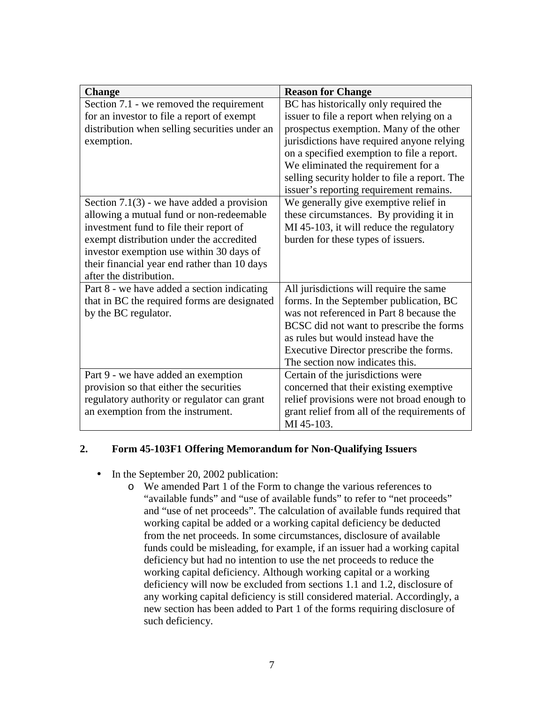| <b>Change</b>                                 | <b>Reason for Change</b>                      |
|-----------------------------------------------|-----------------------------------------------|
| Section 7.1 - we removed the requirement      | BC has historically only required the         |
| for an investor to file a report of exempt    | issuer to file a report when relying on a     |
| distribution when selling securities under an | prospectus exemption. Many of the other       |
| exemption.                                    | jurisdictions have required anyone relying    |
|                                               | on a specified exemption to file a report.    |
|                                               | We eliminated the requirement for a           |
|                                               | selling security holder to file a report. The |
|                                               | issuer's reporting requirement remains.       |
| Section $7.1(3)$ - we have added a provision  | We generally give exemptive relief in         |
| allowing a mutual fund or non-redeemable      | these circumstances. By providing it in       |
| investment fund to file their report of       | MI 45-103, it will reduce the regulatory      |
| exempt distribution under the accredited      | burden for these types of issuers.            |
| investor exemption use within 30 days of      |                                               |
| their financial year end rather than 10 days  |                                               |
| after the distribution.                       |                                               |
| Part 8 - we have added a section indicating   | All jurisdictions will require the same       |
| that in BC the required forms are designated  | forms. In the September publication, BC       |
| by the BC regulator.                          | was not referenced in Part 8 because the      |
|                                               | BCSC did not want to prescribe the forms      |
|                                               | as rules but would instead have the           |
|                                               | Executive Director prescribe the forms.       |
|                                               | The section now indicates this.               |
| Part 9 - we have added an exemption           | Certain of the jurisdictions were             |
| provision so that either the securities       | concerned that their existing exemptive       |
| regulatory authority or regulator can grant   | relief provisions were not broad enough to    |
| an exemption from the instrument.             | grant relief from all of the requirements of  |
|                                               | MI 45-103.                                    |

#### **2. Form 45-103F1 Offering Memorandum for Non-Qualifying Issuers**

- In the September 20, 2002 publication:
	- o We amended Part 1 of the Form to change the various references to "available funds" and "use of available funds" to refer to "net proceeds" and "use of net proceeds". The calculation of available funds required that working capital be added or a working capital deficiency be deducted from the net proceeds. In some circumstances, disclosure of available funds could be misleading, for example, if an issuer had a working capital deficiency but had no intention to use the net proceeds to reduce the working capital deficiency. Although working capital or a working deficiency will now be excluded from sections 1.1 and 1.2, disclosure of any working capital deficiency is still considered material. Accordingly, a new section has been added to Part 1 of the forms requiring disclosure of such deficiency.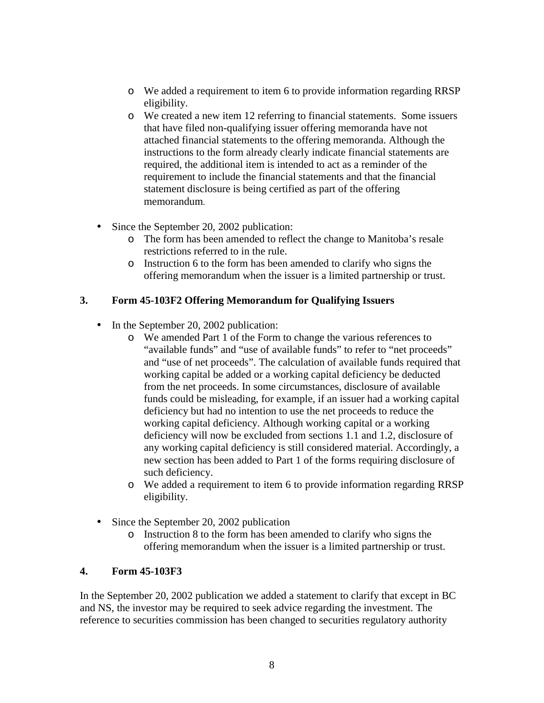- o We added a requirement to item 6 to provide information regarding RRSP eligibility.
- o We created a new item 12 referring to financial statements. Some issuers that have filed non-qualifying issuer offering memoranda have not attached financial statements to the offering memoranda. Although the instructions to the form already clearly indicate financial statements are required, the additional item is intended to act as a reminder of the requirement to include the financial statements and that the financial statement disclosure is being certified as part of the offering memorandum.
- Since the September 20, 2002 publication:
	- o The form has been amended to reflect the change to Manitoba's resale restrictions referred to in the rule.
	- o Instruction 6 to the form has been amended to clarify who signs the offering memorandum when the issuer is a limited partnership or trust.

#### **3. Form 45-103F2 Offering Memorandum for Qualifying Issuers**

- In the September 20, 2002 publication:
	- o We amended Part 1 of the Form to change the various references to "available funds" and "use of available funds" to refer to "net proceeds" and "use of net proceeds". The calculation of available funds required that working capital be added or a working capital deficiency be deducted from the net proceeds. In some circumstances, disclosure of available funds could be misleading, for example, if an issuer had a working capital deficiency but had no intention to use the net proceeds to reduce the working capital deficiency. Although working capital or a working deficiency will now be excluded from sections 1.1 and 1.2, disclosure of any working capital deficiency is still considered material. Accordingly, a new section has been added to Part 1 of the forms requiring disclosure of such deficiency.
	- o We added a requirement to item 6 to provide information regarding RRSP eligibility.
- Since the September 20, 2002 publication
	- o Instruction 8 to the form has been amended to clarify who signs the offering memorandum when the issuer is a limited partnership or trust.

#### **4. Form 45-103F3**

In the September 20, 2002 publication we added a statement to clarify that except in BC and NS, the investor may be required to seek advice regarding the investment. The reference to securities commission has been changed to securities regulatory authority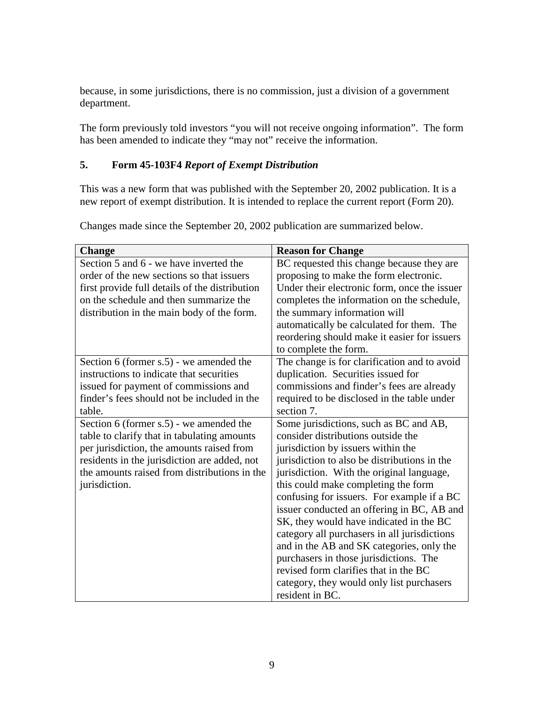because, in some jurisdictions, there is no commission, just a division of a government department.

The form previously told investors "you will not receive ongoing information". The form has been amended to indicate they "may not" receive the information.

### **5. Form 45-103F4** *Report of Exempt Distribution*

This was a new form that was published with the September 20, 2002 publication. It is a new report of exempt distribution. It is intended to replace the current report (Form 20).

| <b>Change</b>                                  | <b>Reason for Change</b>                     |
|------------------------------------------------|----------------------------------------------|
| Section 5 and 6 - we have inverted the         | BC requested this change because they are    |
| order of the new sections so that issuers      | proposing to make the form electronic.       |
| first provide full details of the distribution | Under their electronic form, once the issuer |
| on the schedule and then summarize the         | completes the information on the schedule,   |
| distribution in the main body of the form.     | the summary information will                 |
|                                                | automatically be calculated for them. The    |
|                                                | reordering should make it easier for issuers |
|                                                | to complete the form.                        |
| Section 6 (former $s.5$ ) - we amended the     | The change is for clarification and to avoid |
| instructions to indicate that securities       | duplication. Securities issued for           |
| issued for payment of commissions and          | commissions and finder's fees are already    |
| finder's fees should not be included in the    | required to be disclosed in the table under  |
| table.                                         | section 7.                                   |
| Section 6 (former s.5) - we amended the        | Some jurisdictions, such as BC and AB,       |
| table to clarify that in tabulating amounts    | consider distributions outside the           |
| per jurisdiction, the amounts raised from      | jurisdiction by issuers within the           |
| residents in the jurisdiction are added, not   | jurisdiction to also be distributions in the |
| the amounts raised from distributions in the   | jurisdiction. With the original language,    |
| jurisdiction.                                  | this could make completing the form          |
|                                                | confusing for issuers. For example if a BC   |
|                                                | issuer conducted an offering in BC, AB and   |
|                                                | SK, they would have indicated in the BC      |
|                                                | category all purchasers in all jurisdictions |
|                                                | and in the AB and SK categories, only the    |
|                                                | purchasers in those jurisdictions. The       |
|                                                | revised form clarifies that in the BC        |
|                                                | category, they would only list purchasers    |
|                                                | resident in BC.                              |

Changes made since the September 20, 2002 publication are summarized below.